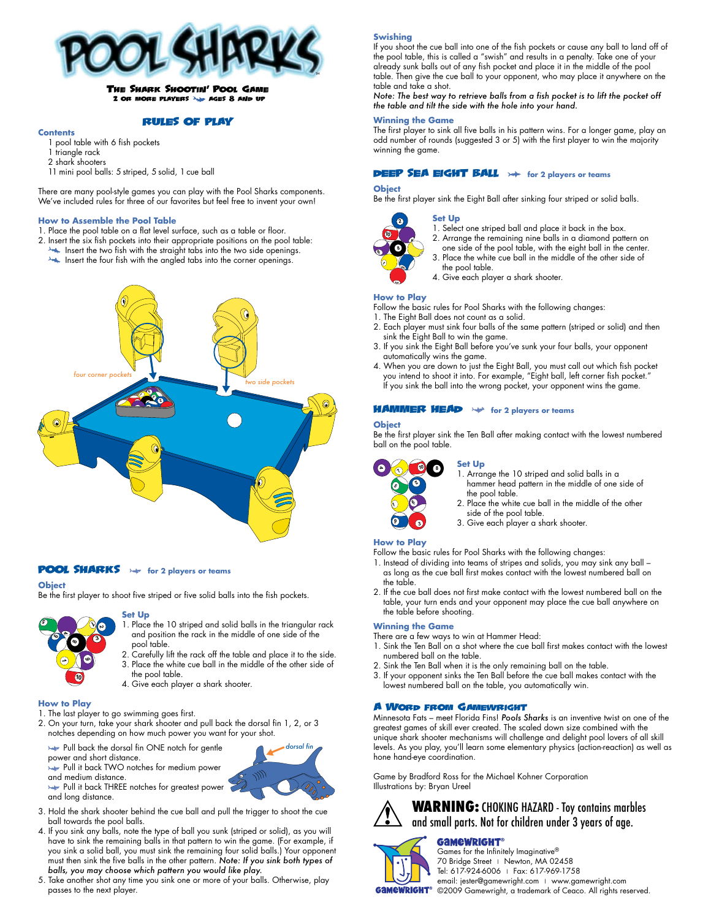

# The Shark Shootin**'** Pool Game 2 or more players ages 8 and up

#### RULES OF PLAY

#### **Contents**

- pool table with 6 fish pockets
- 1 triangle rack
- 2 shark shooters
- 11 mini pool balls: 5 striped, 5 solid, 1 cue ball

There are many pool-style games you can play with the Pool Sharks components. We've included rules for three of our favorites but feel free to invent your own!

#### **How to Assemble the Pool Table**

- 1. Place the pool table on a flat level surface, such as a table or floor.
- 2. Insert the six fish pockets into their appropriate positions on the pool table:
- Insert the two fish with the straight tabs into the two side openings.
- Insert the four fish with the angled tabs into the corner openings.



### **POOL SHARKS**  $\rightarrow$  for 2 players or teams

pool table.

the pool table.

#### **Object**

Be the first player to shoot five striped or five solid balls into the fish pockets.

and position the rack in the middle of one side of the

*dorsal fin*

#### **Set Up** 1. Place the 10 striped and solid balls in the triangular rack 2. Carefully lift the rack off the table and place it to the side. 3. Place the white cue ball in the middle of the other side of 4. Give each player a shark shooter. **5 2 3 1 6 4 10 86**

#### **How to Play**

- 1. The last player to go swimming goes first.
- 2. On your turn, take your shark shooter and pull back the dorsal fin 1, 2, or 3 notches depending on how much power you want for your shot.
	- Pull back the dorsal fin ONE notch for gentle
	- power and short distance.
	- Pull it back TWO notches for medium power
	- and medium distance.
	- Pull it back THREE notches for greatest power and long distance.
- 3. Hold the shark shooter behind the cue ball and pull the trigger to shoot the cue ball towards the pool balls.
- 4. If you sink any balls, note the type of ball you sunk (striped or solid), as you will have to sink the remaining balls in that pattern to win the game. (For example, if you sink a solid ball, you must sink the remaining four solid balls.) Your opponent must then sink the five balls in the other pattern. *Note: If you sink both types of balls, you may choose which pattern you would like play.*
- 5. Take another shot any time you sink one or more of your balls. Otherwise, play passes to the next player.

#### **Swishing**

If you shoot the cue ball into one of the fish pockets or cause any ball to land off of the pool table, this is called a "swish" and results in a penalty. Take one of your already sunk balls out of any fish pocket and place it in the middle of the pool table. Then give the cue ball to your opponent, who may place it anywhere on the table and take a shot.

*Note: The best way to retrieve balls from a fish pocket is to lift the pocket off the table and tilt the side with the hole into your hand.*

#### **Winning the Game**

The first player to sink all five balls in his pattern wins. For a longer game, play an odd number of rounds (suggested 3 or 5) with the first player to win the majority winning the game.

#### **DEEP SEA EIGHT BALL**  $\rightarrow$  for 2 players or teams

#### **Object**

Be the first player sink the Eight Ball after sinking four striped or solid balls.



1. Select one striped ball and place it back in the box.

- 2. Arrange the remaining nine balls in a diamond pattern on
- one side of the pool table, with the eight ball in the center. 3. Place the white cue ball in the middle of the other side of
- the pool table.
- 4. Give each player a shark shooter.

#### **How to Play**

Follow the basic rules for Pool Sharks with the following changes:

1. The Eight Ball does not count as a solid.

**Set Up**

- 2. Each player must sink four balls of the same pattern (striped or solid) and then sink the Eight Ball to win the game.
- 3. If you sink the Eight Ball before you've sunk your four balls, your opponent automatically wins the game.
- 4. When you are down to just the Eight Ball, you must call out which fish pocket you intend to shoot it into. For example, "Eight ball, left corner fish pocket." If you sink the ball into the wrong pocket, your opponent wins the game.

### HAMMER HEAD **For 2 players or teams**

#### **Object**

Be the first player sink the Ten Ball after making contact with the lowest numbered ball on the pool table.



#### **Set Up**

1. Arrange the 10 striped and solid balls in a hammer head pattern in the middle of one side of the pool table.

- 2. Place the white cue ball in the middle of the other side of the pool table.
- 3. Give each player a shark shooter.

#### **How to Play**

Follow the basic rules for Pool Sharks with the following changes:

- 1. Instead of dividing into teams of stripes and solids, you may sink any ball as long as the cue ball first makes contact with the lowest numbered ball on the table.
- 2. If the cue ball does not first make contact with the lowest numbered ball on the table, your turn ends and your opponent may place the cue ball anywhere on the table before shooting.

#### **Winning the Game**

There are a few ways to win at Hammer Head:

- 1. Sink the Ten Ball on a shot where the cue ball first makes contact with the lowest numbered ball on the table.
- 2. Sink the Ten Ball when it is the only remaining ball on the table.
- 3. If your opponent sinks the Ten Ball before the cue ball makes contact with the lowest numbered ball on the table, you automatically win.

#### A Word from Gamewright

Minnesota Fats – meet Florida Fins! *Pools Sharks* is an inventive twist on one of the greatest games of skill ever created. The scaled down size combined with the unique shark shooter mechanisms will challenge and delight pool lovers of all skill levels. As you play, you'll learn some elementary physics (action-reaction) as well as hone hand-eye coordination.

Game by Bradford Ross for the Michael Kohner Corporation Illustrations by: Bryan Ureel



# **WARNING:** CHOKING HAZARD - Toy contains marbles and small parts. Not for children under 3 years of age.



## **GAMEWRIGHT®**

Games for the Infinitely Imaginative® 70 Bridge Street | Newton, MA 02458 Tel: 617-924-6006 | Fax: 617-969-1758

email: jester@gamewright.com | www.gamewright.com **GAMEWRIGHT**® ©2009 Gamewright, a trademark of Ceaco. All rights reserved.